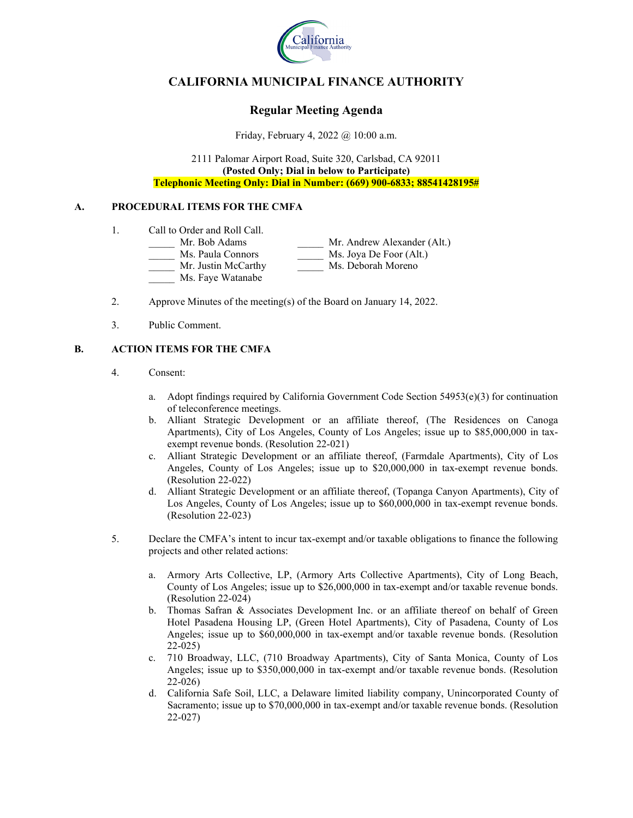

# **CALIFORNIA MUNICIPAL FINANCE AUTHORITY**

# **Regular Meeting Agenda**

Friday, February 4, 2022 @ 10:00 a.m.

2111 Palomar Airport Road, Suite 320, Carlsbad, CA 92011 **(Posted Only; Dial in below to Participate) Telephonic Meeting Only: Dial in Number: (669) 900-6833; 88541428195#**

### **A. PROCEDURAL ITEMS FOR THE CMFA**

- 1. Call to Order and Roll Call.
	- Mr. Bob Adams Mr. Andrew Alexander (Alt.) Ms. Paula Connors Ms. Joya De Foor (Alt.)
		- Mr. Justin McCarthy Ms. Deborah Moreno
	- Ms. Faye Watanabe
- 
- 
- 2. Approve Minutes of the meeting(s) of the Board on January 14, 2022.
- 3. Public Comment.

## **B. ACTION ITEMS FOR THE CMFA**

- 4. Consent:
	- a. Adopt findings required by California Government Code Section  $54953(e)(3)$  for continuation of teleconference meetings.
	- b. Alliant Strategic Development or an affiliate thereof, (The Residences on Canoga Apartments), City of Los Angeles, County of Los Angeles; issue up to \$85,000,000 in taxexempt revenue bonds. (Resolution 22-021)
	- c. Alliant Strategic Development or an affiliate thereof, (Farmdale Apartments), City of Los Angeles, County of Los Angeles; issue up to \$20,000,000 in tax-exempt revenue bonds. (Resolution 22-022)
	- d. Alliant Strategic Development or an affiliate thereof, (Topanga Canyon Apartments), City of Los Angeles, County of Los Angeles; issue up to \$60,000,000 in tax-exempt revenue bonds. (Resolution 22-023)
- 5. Declare the CMFA's intent to incur tax-exempt and/or taxable obligations to finance the following projects and other related actions:
	- a. Armory Arts Collective, LP, (Armory Arts Collective Apartments), City of Long Beach, County of Los Angeles; issue up to \$26,000,000 in tax-exempt and/or taxable revenue bonds. (Resolution 22-024)
	- b. Thomas Safran & Associates Development Inc. or an affiliate thereof on behalf of Green Hotel Pasadena Housing LP, (Green Hotel Apartments), City of Pasadena, County of Los Angeles; issue up to \$60,000,000 in tax-exempt and/or taxable revenue bonds. (Resolution 22-025)
	- c. 710 Broadway, LLC, (710 Broadway Apartments), City of Santa Monica, County of Los Angeles; issue up to \$350,000,000 in tax-exempt and/or taxable revenue bonds. (Resolution 22-026)
	- d. California Safe Soil, LLC, a Delaware limited liability company, Unincorporated County of Sacramento; issue up to \$70,000,000 in tax-exempt and/or taxable revenue bonds. (Resolution 22-027)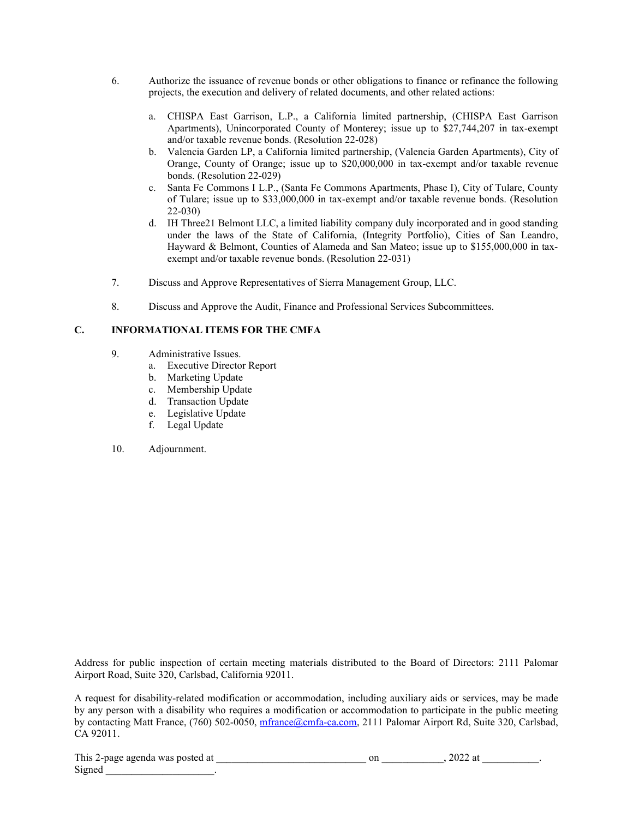- 6. Authorize the issuance of revenue bonds or other obligations to finance or refinance the following projects, the execution and delivery of related documents, and other related actions:
	- a. CHISPA East Garrison, L.P., a California limited partnership, (CHISPA East Garrison Apartments), Unincorporated County of Monterey; issue up to \$27,744,207 in tax-exempt and/or taxable revenue bonds. (Resolution 22-028)
	- b. Valencia Garden LP, a California limited partnership, (Valencia Garden Apartments), City of Orange, County of Orange; issue up to \$20,000,000 in tax-exempt and/or taxable revenue bonds. (Resolution 22-029)
	- c. Santa Fe Commons I L.P., (Santa Fe Commons Apartments, Phase I), City of Tulare, County of Tulare; issue up to \$33,000,000 in tax-exempt and/or taxable revenue bonds. (Resolution 22-030)
	- d. IH Three21 Belmont LLC, a limited liability company duly incorporated and in good standing under the laws of the State of California, (Integrity Portfolio), Cities of San Leandro, Hayward & Belmont, Counties of Alameda and San Mateo; issue up to \$155,000,000 in taxexempt and/or taxable revenue bonds. (Resolution 22-031)
- 7. Discuss and Approve Representatives of Sierra Management Group, LLC.
- 8. Discuss and Approve the Audit, Finance and Professional Services Subcommittees.

### **C. INFORMATIONAL ITEMS FOR THE CMFA**

- 9. Administrative Issues.
	- a. Executive Director Report
	- b. Marketing Update
	- c. Membership Update
	- d. Transaction Update
	- e. Legislative Update
	- f. Legal Update
- 10. Adjournment.

Address for public inspection of certain meeting materials distributed to the Board of Directors: 2111 Palomar Airport Road, Suite 320, Carlsbad, California 92011.

A request for disability-related modification or accommodation, including auxiliary aids or services, may be made by any person with a disability who requires a modification or accommodation to participate in the public meeting by contacting Matt France, (760) 502-0050, [mfrance@cmfa-ca.com,](mailto:mfrance@cmfa-ca.com) 2111 Palomar Airport Rd, Suite 320, Carlsbad, CA 92011.

| This 2<br>2-page agenda was i<br>-nosted at | OI. |  |
|---------------------------------------------|-----|--|
| $\sim$<br>Signer                            |     |  |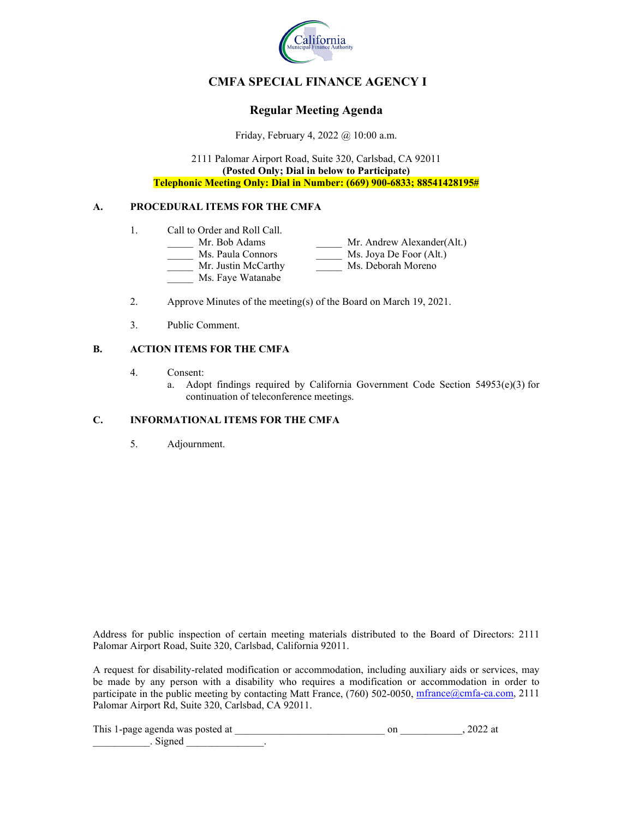

# **CMFA SPECIAL FINANCE AGENCY I**

## **Regular Meeting Agenda**

Friday, February 4, 2022 @ 10:00 a.m.

2111 Palomar Airport Road, Suite 320, Carlsbad, CA 92011 **(Posted Only; Dial in below to Participate) Telephonic Meeting Only: Dial in Number: (669) 900-6833; 88541428195#**

## **A. PROCEDURAL ITEMS FOR THE CMFA**

- 1. Call to Order and Roll Call.<br>Mr. Bob Adams
	- Mr. Bob Adams Mr. Andrew Alexander(Alt.)<br>Ms. Paula Connors Ms. Joya De Foor (Alt.)
		- Ms. Joya De Foor (Alt.)<br>Ms. Deborah Moreno
	- \_\_\_\_\_\_ Mr. Justin McCarthy
	- Ms. Faye Watanabe
- 2. Approve Minutes of the meeting(s) of the Board on March 19, 2021.
- 3. Public Comment.

## **B. ACTION ITEMS FOR THE CMFA**

- 4. Consent:
	- a. Adopt findings required by California Government Code Section  $54953(e)(3)$  for continuation of teleconference meetings.

## **C. INFORMATIONAL ITEMS FOR THE CMFA**

5. Adjournment.

Address for public inspection of certain meeting materials distributed to the Board of Directors: 2111 Palomar Airport Road, Suite 320, Carlsbad, California 92011.

A request for disability-related modification or accommodation, including auxiliary aids or services, may be made by any person with a disability who requires a modification or accommodation in order to participate in the public meeting by contacting Matt France, (760) 502-0050, [mfrance@cmfa-ca.com,](mailto:mfrance@cmfa-ca.com) 2111 Palomar Airport Rd, Suite 320, Carlsbad, CA 92011.

This 1-page agenda was posted at \_\_\_\_\_\_\_\_\_\_\_\_\_\_\_\_\_\_\_\_\_\_\_\_\_\_\_\_\_ on \_\_\_\_\_\_\_\_\_\_\_\_, 2022 at  $\qquad \qquad .$  Signed \_\_\_\_\_\_\_\_\_\_\_\_\_.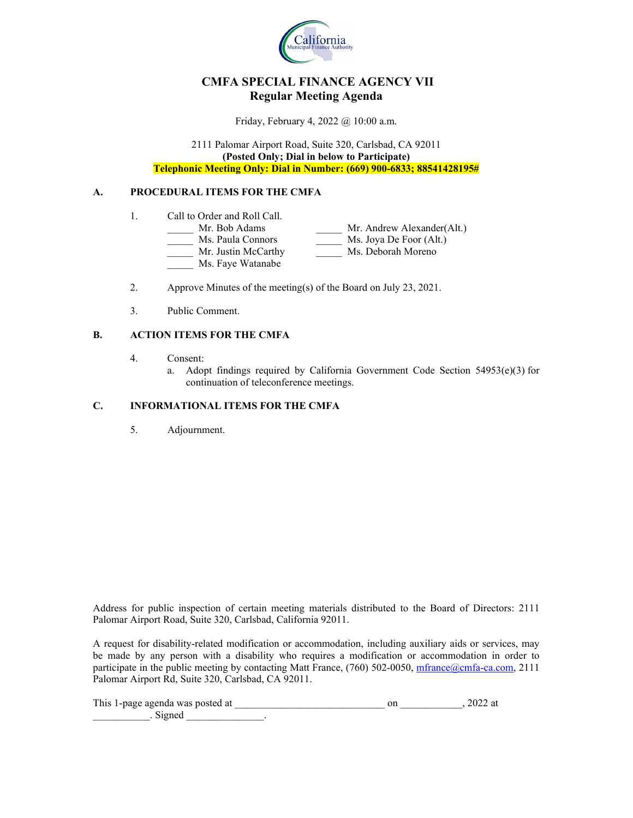

## **CMFA SPECIAL FINANCE AGENCY VII Regular Meeting Agenda**

Friday, February 4, 2022 @ 10:00 a.m.

2111 Palomar Airport Road, Suite 320, Carlsbad, CA 92011 **(Posted Only; Dial in below to Participate) Telephonic Meeting Only: Dial in Number: (669) 900-6833; 88541428195#**

#### **A. PROCEDURAL ITEMS FOR THE CMFA**

1. Call to Order and Roll Call.

| Mr. Bob Adams       | Mr. Andrew Alexander(Alt.)             |
|---------------------|----------------------------------------|
| $M_2$ Dayle Company | $M_2$ Lave $D_2$ $\Gamma_{22}$ $(M_1)$ |

- \_\_\_\_\_ Ms. Paula Connors \_\_\_\_\_ Ms. Joya De Foor (Alt.) Mr. Justin McCarthy Ms. Deborah Moreno
- \_\_\_\_\_ Ms. Faye Watanabe
- 2. Approve Minutes of the meeting(s) of the Board on July 23, 2021.
- 3. Public Comment.

### **B. ACTION ITEMS FOR THE CMFA**

- 4. Consent:
	- a. Adopt findings required by California Government Code Section  $54953(e)(3)$  for continuation of teleconference meetings.

#### **C. INFORMATIONAL ITEMS FOR THE CMFA**

5. Adjournment.

Address for public inspection of certain meeting materials distributed to the Board of Directors: 2111 Palomar Airport Road, Suite 320, Carlsbad, California 92011.

A request for disability-related modification or accommodation, including auxiliary aids or services, may be made by any person with a disability who requires a modification or accommodation in order to participate in the public meeting by contacting Matt France, (760) 502-0050, [mfrance@cmfa-ca.com,](mailto:mfrance@cmfa-ca.com) 2111 Palomar Airport Rd, Suite 320, Carlsbad, CA 92011.

| This 1-page agenda was posted at |  |  |
|----------------------------------|--|--|
| Sioned                           |  |  |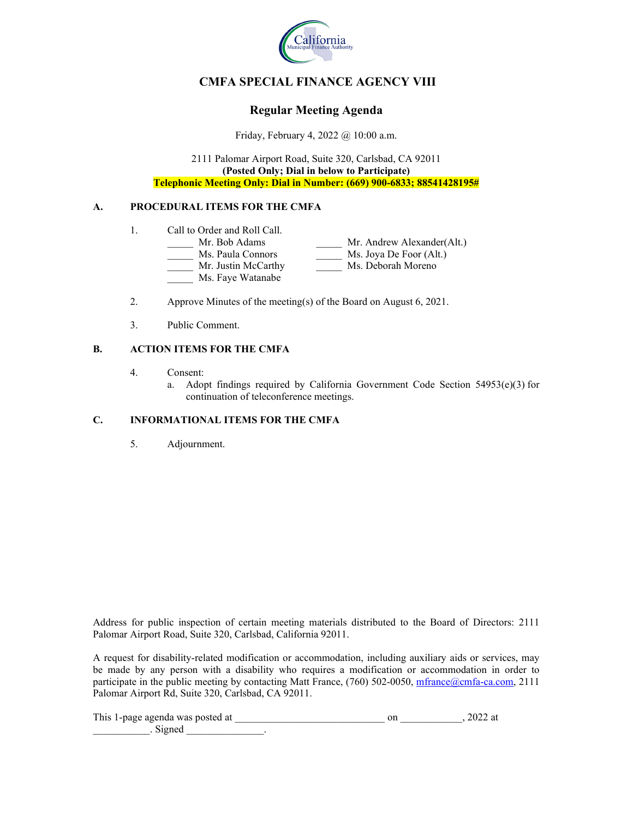

# **CMFA SPECIAL FINANCE AGENCY VIII**

## **Regular Meeting Agenda**

Friday, February 4, 2022 @ 10:00 a.m.

2111 Palomar Airport Road, Suite 320, Carlsbad, CA 92011 **(Posted Only; Dial in below to Participate) Telephonic Meeting Only: Dial in Number: (669) 900-6833; 88541428195#**

## **A. PROCEDURAL ITEMS FOR THE CMFA**

- 1. Call to Order and Roll Call.
	- \_\_\_\_\_ Mr. Bob Adams \_\_\_\_\_ Mr. Andrew Alexander(Alt.)
	- Ms. Paula Connors Ms. Joya De Foor (Alt.)<br>Mr. Justin McCarthy Ms. Deborah Moreno
		- Mr. Justin McCarthy
	- Ms. Faye Watanabe
- 2. Approve Minutes of the meeting(s) of the Board on August 6, 2021.
- 3. Public Comment.

## **B. ACTION ITEMS FOR THE CMFA**

- 4. Consent:
	- a. Adopt findings required by California Government Code Section  $54953(e)(3)$  for continuation of teleconference meetings.

## **C. INFORMATIONAL ITEMS FOR THE CMFA**

5. Adjournment.

Address for public inspection of certain meeting materials distributed to the Board of Directors: 2111 Palomar Airport Road, Suite 320, Carlsbad, California 92011.

A request for disability-related modification or accommodation, including auxiliary aids or services, may be made by any person with a disability who requires a modification or accommodation in order to participate in the public meeting by contacting Matt France, (760) 502-0050, [mfrance@cmfa-ca.com,](mailto:mfrance@cmfa-ca.com) 2111 Palomar Airport Rd, Suite 320, Carlsbad, CA 92011.

| This 1-page agenda was posted at |  |
|----------------------------------|--|
|                                  |  |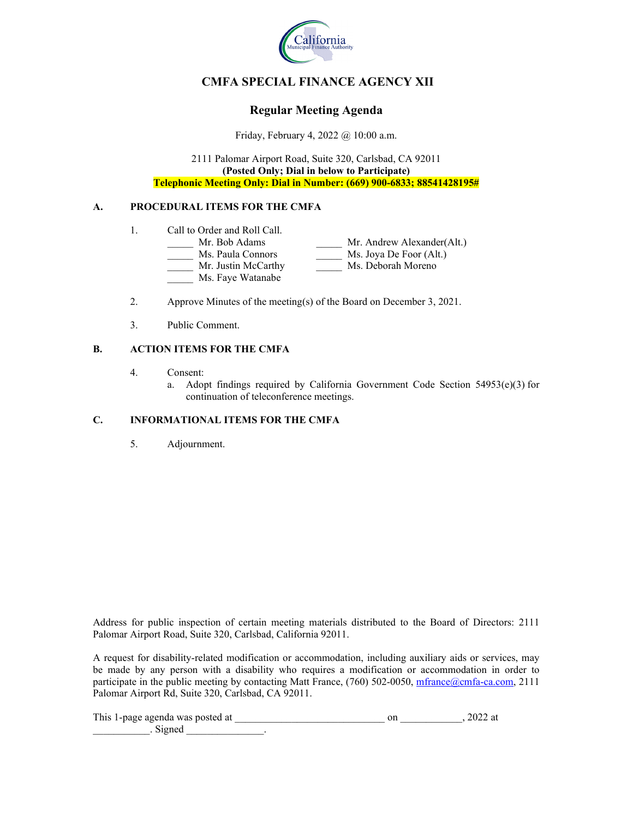

# **CMFA SPECIAL FINANCE AGENCY XII**

## **Regular Meeting Agenda**

Friday, February 4, 2022 @ 10:00 a.m.

2111 Palomar Airport Road, Suite 320, Carlsbad, CA 92011 **(Posted Only; Dial in below to Participate) Telephonic Meeting Only: Dial in Number: (669) 900-6833; 88541428195#**

## **A. PROCEDURAL ITEMS FOR THE CMFA**

- 1. Call to Order and Roll Call.
	- \_\_\_\_\_ Mr. Bob Adams \_\_\_\_\_ Mr. Andrew Alexander(Alt.)
	- Ms. Paula Connors Ms. Joya De Foor (Alt.)<br>Mr. Justin McCarthy Ms. Deborah Moreno
		- Mr. Justin McCarthy
	- Ms. Faye Watanabe
- 2. Approve Minutes of the meeting(s) of the Board on December 3, 2021.
- 3. Public Comment.

## **B. ACTION ITEMS FOR THE CMFA**

- 4. Consent:
	- a. Adopt findings required by California Government Code Section  $54953(e)(3)$  for continuation of teleconference meetings.

## **C. INFORMATIONAL ITEMS FOR THE CMFA**

5. Adjournment.

Address for public inspection of certain meeting materials distributed to the Board of Directors: 2111 Palomar Airport Road, Suite 320, Carlsbad, California 92011.

A request for disability-related modification or accommodation, including auxiliary aids or services, may be made by any person with a disability who requires a modification or accommodation in order to participate in the public meeting by contacting Matt France, (760) 502-0050, [mfrance@cmfa-ca.com,](mailto:mfrance@cmfa-ca.com) 2111 Palomar Airport Rd, Suite 320, Carlsbad, CA 92011.

| This 1-page agenda was posted at |  |
|----------------------------------|--|
|                                  |  |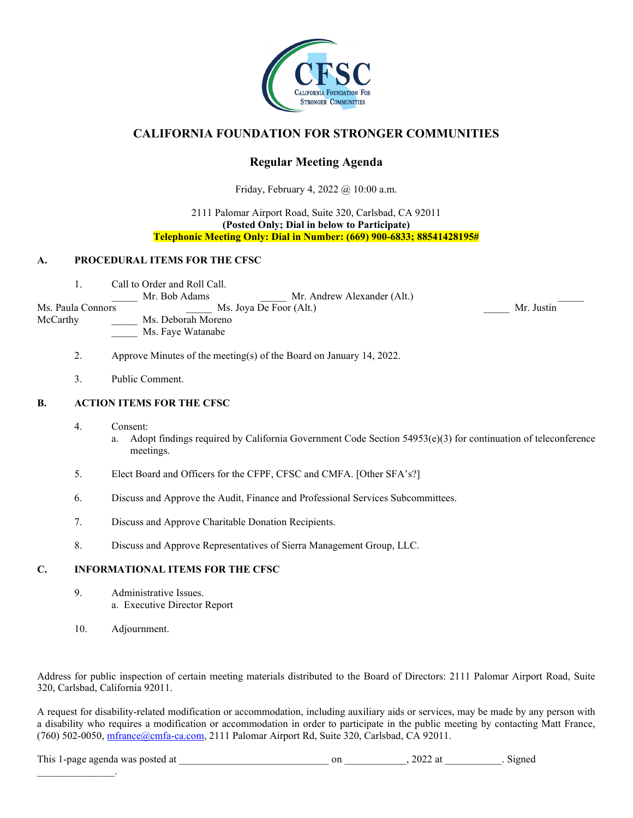

# **CALIFORNIA FOUNDATION FOR STRONGER COMMUNITIES**

# **Regular Meeting Agenda**

Friday, February 4, 2022 @ 10:00 a.m.

### 2111 Palomar Airport Road, Suite 320, Carlsbad, CA 92011 **(Posted Only; Dial in below to Participate) Telephonic Meeting Only: Dial in Number: (669) 900-6833; 88541428195#**

## **A. PROCEDURAL ITEMS FOR THE CFSC**

1. Call to Order and Roll Call.

Mr. Bob Adams **Mr. Andrew Alexander (Alt.)** 

Ms. Faye Watanabe

McCarthy Ms. Deborah Moreno

Ms. Paula Connors Ms. Joya De Foor (Alt.) Mr. Justin

- 2. Approve Minutes of the meeting(s) of the Board on January 14, 2022.
- 3. Public Comment.

## **B. ACTION ITEMS FOR THE CFSC**

- 4. Consent:
	- a. Adopt findings required by California Government Code Section 54953(e)(3) for continuation of teleconference meetings.
- 5. Elect Board and Officers for the CFPF, CFSC and CMFA. [Other SFA's?]
- 6. Discuss and Approve the Audit, Finance and Professional Services Subcommittees.
- 7. Discuss and Approve Charitable Donation Recipients.
- 8. Discuss and Approve Representatives of Sierra Management Group, LLC.

## **C. INFORMATIONAL ITEMS FOR THE CFSC**

- 9. Administrative Issues. a. Executive Director Report
- 10. Adjournment.

Address for public inspection of certain meeting materials distributed to the Board of Directors: 2111 Palomar Airport Road, Suite 320, Carlsbad, California 92011.

A request for disability-related modification or accommodation, including auxiliary aids or services, may be made by any person with a disability who requires a modification or accommodation in order to participate in the public meeting by contacting Matt France, (760) 502-0050, [mfrance@cmfa-ca.com,](mailto:mfrance@cmfa-ca.com) 2111 Palomar Airport Rd, Suite 320, Carlsbad, CA 92011.

This 1-page agenda was posted at \_\_\_\_\_\_\_\_\_\_\_\_\_\_\_\_\_\_\_\_\_\_\_\_\_\_\_\_\_ on \_\_\_\_\_\_\_\_\_\_\_\_, 2022 at \_\_\_\_\_\_\_\_\_\_\_. Signed

 $\mathcal{L}_\text{max}$  and  $\mathcal{L}_\text{max}$